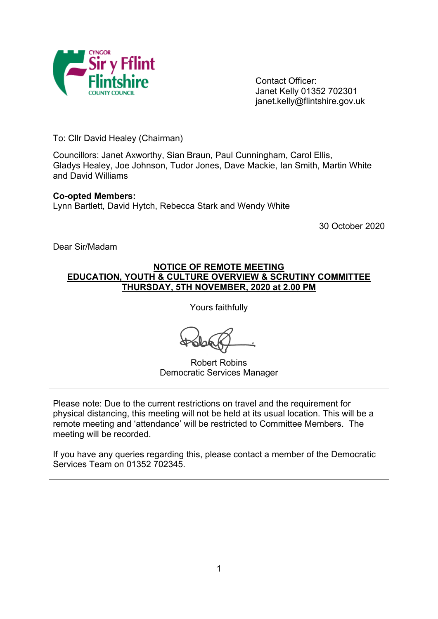

Contact Officer: Janet Kelly 01352 702301 janet.kelly@flintshire.gov.uk

To: Cllr David Healey (Chairman)

Councillors: Janet Axworthy, Sian Braun, Paul Cunningham, Carol Ellis, Gladys Healey, Joe Johnson, Tudor Jones, Dave Mackie, Ian Smith, Martin White and David Williams

#### **Co-opted Members:**

Lynn Bartlett, David Hytch, Rebecca Stark and Wendy White

30 October 2020

Dear Sir/Madam

## **NOTICE OF REMOTE MEETING EDUCATION, YOUTH & CULTURE OVERVIEW & SCRUTINY COMMITTEE THURSDAY, 5TH NOVEMBER, 2020 at 2.00 PM**

Yours faithfully

Robert Robins Democratic Services Manager

Please note: Due to the current restrictions on travel and the requirement for physical distancing, this meeting will not be held at its usual location. This will be a remote meeting and 'attendance' will be restricted to Committee Members. The meeting will be recorded.

If you have any queries regarding this, please contact a member of the Democratic Services Team on 01352 702345.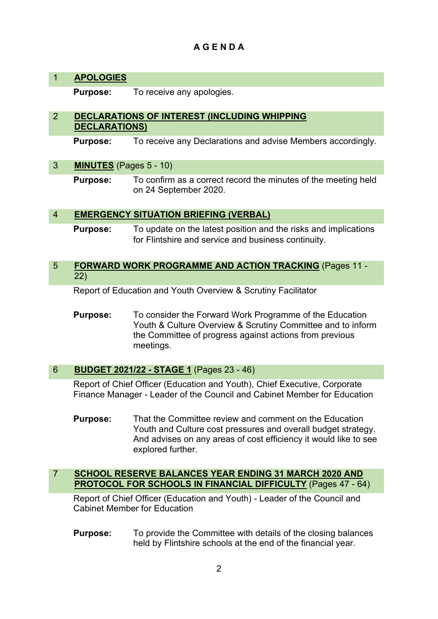## **A G E N D A**

## 1 **APOLOGIES**

**Purpose:** To receive any apologies.

## 2 **DECLARATIONS OF INTEREST (INCLUDING WHIPPING DECLARATIONS)**

**Purpose:** To receive any Declarations and advise Members accordingly.

## 3 **MINUTES** (Pages 5 - 10)

**Purpose:** To confirm as a correct record the minutes of the meeting held on 24 September 2020.

## 4 **EMERGENCY SITUATION BRIEFING (VERBAL)**

**Purpose:** To update on the latest position and the risks and implications for Flintshire and service and business continuity.

#### 5 **FORWARD WORK PROGRAMME AND ACTION TRACKING** (Pages 11 - 22)

Report of Education and Youth Overview & Scrutiny Facilitator

**Purpose:** To consider the Forward Work Programme of the Education Youth & Culture Overview & Scrutiny Committee and to inform the Committee of progress against actions from previous meetings.

## 6 **BUDGET 2021/22 - STAGE 1** (Pages 23 - 46)

Report of Chief Officer (Education and Youth), Chief Executive, Corporate Finance Manager - Leader of the Council and Cabinet Member for Education

**Purpose:** That the Committee review and comment on the Education Youth and Culture cost pressures and overall budget strategy. And advises on any areas of cost efficiency it would like to see explored further.

## 7 **SCHOOL RESERVE BALANCES YEAR ENDING 31 MARCH 2020 AND PROTOCOL FOR SCHOOLS IN FINANCIAL DIFFICULTY** (Pages 47 - 64)

Report of Chief Officer (Education and Youth) - Leader of the Council and Cabinet Member for Education

**Purpose:** To provide the Committee with details of the closing balances held by Flintshire schools at the end of the financial year.